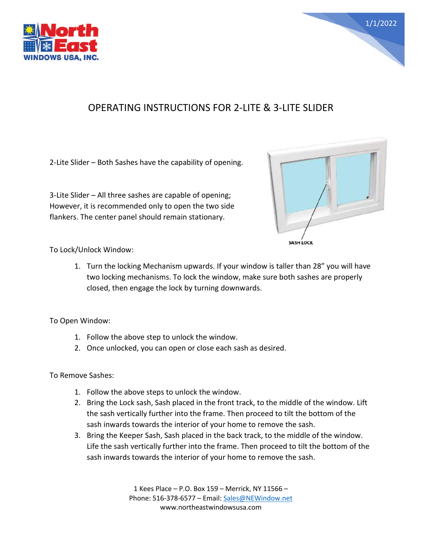



## OPERATING INSTRUCTIONS FOR 2-LITE & 3-LITE SLIDER

2-Lite Slider – Both Sashes have the capability of opening.

3-Lite Slider – All three sashes are capable of opening; However, it is recommended only to open the two side flankers. The center panel should remain stationary.



To Lock/Unlock Window:

1. Turn the locking Mechanism upwards. If your window is taller than 28" you will have two locking mechanisms. To lock the window, make sure both sashes are properly closed, then engage the lock by turning downwards.

To Open Window:

- 1. Follow the above step to unlock the window.
- 2. Once unlocked, you can open or close each sash as desired.

To Remove Sashes:

- 1. Follow the above steps to unlock the window.
- 2. Bring the Lock sash, Sash placed in the front track, to the middle of the window. Lift the sash vertically further into the frame. Then proceed to tilt the bottom of the sash inwards towards the interior of your home to remove the sash.
- 3. Bring the Keeper Sash, Sash placed in the back track, to the middle of the window. Life the sash vertically further into the frame. Then proceed to tilt the bottom of the sash inwards towards the interior of your home to remove the sash.

1 Kees Place – P.O. Box 159 – Merrick, NY 11566 – Phone: 516-378-6577 – Email: [Sales@NEWindow.net](mailto:Sales@NEWindow.net) www.northeastwindowsusa.com